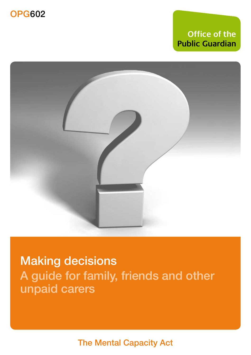## **Office of the Public Guardian**



Making decisions A guide for family, friends and other unpaid carers

The Mental Capacity Act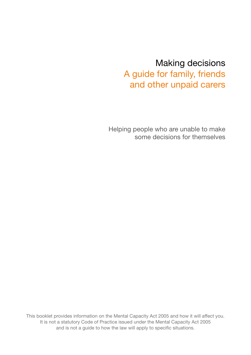## Making decisions A guide for family, friends and other unpaid carers

Helping people who are unable to make some decisions for themselves

This booklet provides information on the Mental Capacity Act 2005 and how it will affect you. It is not a statutory Code of Practice issued under the Mental Capacity Act 2005 and is not a guide to how the law will apply to specific situations.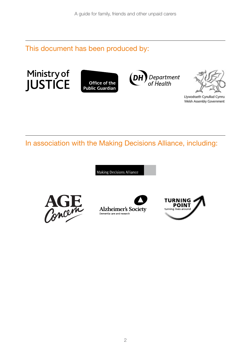This document has been produced by:







Llywodraeth Cynulliad Cymru Welsh Assembly Government

In association with the Making Decisions Alliance, including:

Making Decisions Alliance





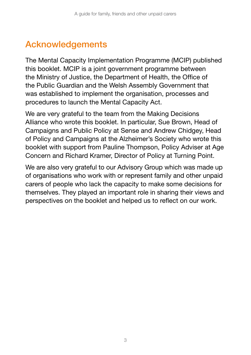# **Acknowledgements**

The Mental Capacity Implementation Programme (MCIP) published this booklet. MCIP is a joint government programme between the Ministry of Justice, the Department of Health, the Office of the Public Guardian and the Welsh Assembly Government that was established to implement the organisation, processes and procedures to launch the Mental Capacity Act.

We are very grateful to the team from the Making Decisions Alliance who wrote this booklet. In particular, Sue Brown, Head of Campaigns and Public Policy at Sense and Andrew Chidgey, Head of Policy and Campaigns at the Alzheimer's Society who wrote this booklet with support from Pauline Thompson, Policy Adviser at Age Concern and Richard Kramer, Director of Policy at Turning Point.

We are also very grateful to our Advisory Group which was made up of organisations who work with or represent family and other unpaid carers of people who lack the capacity to make some decisions for themselves. They played an important role in sharing their views and perspectives on the booklet and helped us to reflect on our work.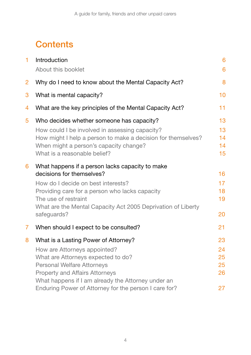# **Contents**

| $\mathbf{1}$ | Introduction<br>About this booklet                                                                                                                                                       | 6<br>6               |
|--------------|------------------------------------------------------------------------------------------------------------------------------------------------------------------------------------------|----------------------|
| 2            | Why do I need to know about the Mental Capacity Act?                                                                                                                                     | 8                    |
| 3            | What is mental capacity?                                                                                                                                                                 | 10                   |
| 4            | What are the key principles of the Mental Capacity Act?                                                                                                                                  | 11                   |
| 5            | Who decides whether someone has capacity?                                                                                                                                                | 13                   |
|              | How could I be involved in assessing capacity?<br>How might I help a person to make a decision for themselves?<br>When might a person's capacity change?<br>What is a reasonable belief? | 13<br>14<br>14<br>15 |
| 6            | What happens if a person lacks capacity to make                                                                                                                                          |                      |
|              | decisions for themselves?                                                                                                                                                                | 16                   |
|              | How do I decide on best interests?                                                                                                                                                       | 17                   |
|              | Providing care for a person who lacks capacity<br>The use of restraint                                                                                                                   | 18<br>19             |
|              | What are the Mental Capacity Act 2005 Deprivation of Liberty                                                                                                                             |                      |
|              | safeguards?                                                                                                                                                                              | 20                   |
| 7            | When should I expect to be consulted?                                                                                                                                                    | 21                   |
| 8            | What is a Lasting Power of Attorney?                                                                                                                                                     | 23                   |
|              | How are Attorneys appointed?                                                                                                                                                             | 24                   |
|              | What are Attorneys expected to do?                                                                                                                                                       | 25                   |
|              | <b>Personal Welfare Attorneys</b>                                                                                                                                                        | 25                   |
|              | <b>Property and Affairs Attorneys</b><br>What happens if I am already the Attorney under an                                                                                              | 26                   |
|              | Enduring Power of Attorney for the person I care for?                                                                                                                                    | 27                   |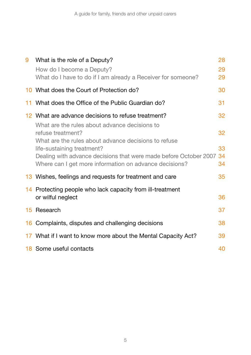| 9  | What is the role of a Deputy?                                                                                                                             | 28             |
|----|-----------------------------------------------------------------------------------------------------------------------------------------------------------|----------------|
|    | How do I become a Deputy?<br>What do I have to do if I am already a Receiver for someone?                                                                 | 29<br>29       |
|    | 10 What does the Court of Protection do?                                                                                                                  | 30             |
| 11 | What does the Office of the Public Guardian do?                                                                                                           | 31             |
|    | 12 What are advance decisions to refuse treatment?                                                                                                        | 32             |
|    | What are the rules about advance decisions to<br>refuse treatment?<br>What are the rules about advance decisions to refuse                                | 32             |
|    | life-sustaining treatment?<br>Dealing with advance decisions that were made before October 2007<br>Where can I get more information on advance decisions? | 33<br>34<br>34 |
|    | 13 Wishes, feelings and requests for treatment and care                                                                                                   | 35             |
|    | 14 Protecting people who lack capacity from ill-treatment<br>or wilful neglect                                                                            | 36             |
|    | 15 Research                                                                                                                                               | 37             |
|    | 16 Complaints, disputes and challenging decisions                                                                                                         | 38             |
|    | 17 What if I want to know more about the Mental Capacity Act?                                                                                             | 39             |
|    | 18 Some useful contacts                                                                                                                                   | 40             |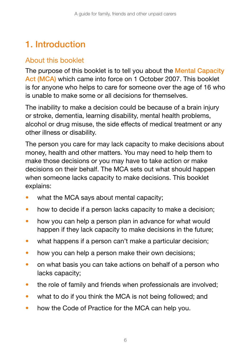# 1. Introduction

### About this booklet

The purpose of this booklet is to tell you about the Mental Capacity Act (MCA) which came into force on 1 October 2007. This booklet is for anyone who helps to care for someone over the age of 16 who is unable to make some or all decisions for themselves.

The inability to make a decision could be because of a brain injury or stroke, dementia, learning disability, mental health problems, alcohol or drug misuse, the side effects of medical treatment or any other illness or disability.

The person you care for may lack capacity to make decisions about money, health and other matters. You may need to help them to make those decisions or you may have to take action or make decisions on their behalf. The MCA sets out what should happen when someone lacks capacity to make decisions. This booklet explains:

- what the MCA says about mental capacity;
- how to decide if a person lacks capacity to make a decision;
- how you can help a person plan in advance for what would happen if they lack capacity to make decisions in the future;
- what happens if a person can't make a particular decision;
- how you can help a person make their own decisions;
- on what basis you can take actions on behalf of a person who lacks capacity;
- the role of family and friends when professionals are involved;
- what to do if you think the MCA is not being followed; and
- how the Code of Practice for the MCA can help you.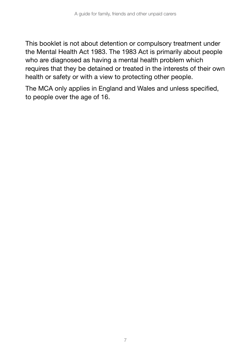This booklet is not about detention or compulsory treatment under the Mental Health Act 1983. The 1983 Act is primarily about people who are diagnosed as having a mental health problem which requires that they be detained or treated in the interests of their own health or safety or with a view to protecting other people.

The MCA only applies in England and Wales and unless specified, to people over the age of 16.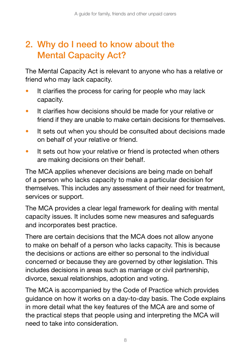# 2. Why do I need to know about the Mental Capacity Act?

The Mental Capacity Act is relevant to anyone who has a relative or friend who may lack capacity.

- It clarifies the process for caring for people who may lack capacity.
- It clarifies how decisions should be made for your relative or friend if they are unable to make certain decisions for themselves.
- It sets out when you should be consulted about decisions made on behalf of your relative or friend.
- It sets out how your relative or friend is protected when others are making decisions on their behalf.

The MCA applies whenever decisions are being made on behalf of a person who lacks capacity to make a particular decision for themselves. This includes any assessment of their need for treatment, services or support.

The MCA provides a clear legal framework for dealing with mental capacity issues. It includes some new measures and safeguards and incorporates best practice.

There are certain decisions that the MCA does not allow anyone to make on behalf of a person who lacks capacity. This is because the decisions or actions are either so personal to the individual concerned or because they are governed by other legislation. This includes decisions in areas such as marriage or civil partnership, divorce, sexual relationships, adoption and voting.

The MCA is accompanied by the Code of Practice which provides guidance on how it works on a day-to-day basis. The Code explains in more detail what the key features of the MCA are and some of the practical steps that people using and interpreting the MCA will need to take into consideration.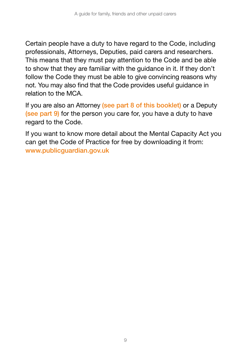Certain people have a duty to have regard to the Code, including professionals, Attorneys, Deputies, paid carers and researchers. This means that they must pay attention to the Code and be able to show that they are familiar with the guidance in it. If they don't follow the Code they must be able to give convincing reasons why not. You may also find that the Code provides useful guidance in relation to the MCA.

If you are also an Attorney (see part 8 of this booklet) or a Deputy (see part 9) for the person you care for, you have a duty to have regard to the Code.

If you want to know more detail about the Mental Capacity Act you can get the Code of Practice for free by downloading it from: www.publicguardian.gov.uk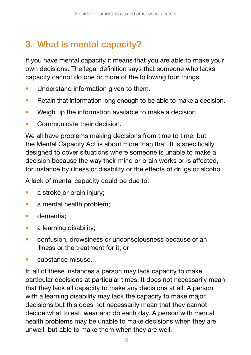# 3. What is mental capacity?

If you have mental capacity it means that you are able to make your own decisions. The legal definition says that someone who lacks capacity cannot do one or more of the following four things.

- Understand information given to them.
- Retain that information long enough to be able to make a decision.
- Weigh up the information available to make a decision.
- Communicate their decision.

We all have problems making decisions from time to time, but the Mental Capacity Act is about more than that. It is specifically designed to cover situations where someone is unable to make a decision because the way their mind or brain works or is affected, for instance by illness or disability or the effects of drugs or alcohol.

A lack of mental capacity could be due to:

- a stroke or brain injury;
- a mental health problem;
- dementia;
- a learning disability;
- confusion, drowsiness or unconsciousness because of an illness or the treatment for it; or
- substance misuse.

In all of these instances a person may lack capacity to make particular decisions at particular times. It does not necessarily mean that they lack all capacity to make any decisions at all. A person with a learning disability may lack the capacity to make major decisions but this does not necessarily mean that they cannot decide what to eat, wear and do each day. A person with mental health problems may be unable to make decisions when they are unwell, but able to make them when they are well.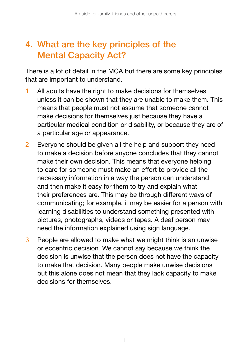## 4. What are the key principles of the Mental Capacity Act?

There is a lot of detail in the MCA but there are some key principles that are important to understand.

- 1 All adults have the right to make decisions for themselves unless it can be shown that they are unable to make them. This means that people must not assume that someone cannot make decisions for themselves just because they have a particular medical condition or disability, or because they are of a particular age or appearance.
- 2 Everyone should be given all the help and support they need to make a decision before anyone concludes that they cannot make their own decision. This means that everyone helping to care for someone must make an effort to provide all the necessary information in a way the person can understand and then make it easy for them to try and explain what their preferences are. This may be through different ways of communicating; for example, it may be easier for a person with learning disabilities to understand something presented with pictures, photographs, videos or tapes. A deaf person may need the information explained using sign language.
- 3 People are allowed to make what we might think is an unwise or eccentric decision. We cannot say because we think the decision is unwise that the person does not have the capacity to make that decision. Many people make unwise decisions but this alone does not mean that they lack capacity to make decisions for themselves.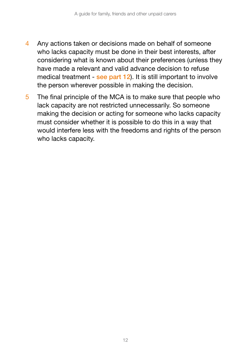- 4 Any actions taken or decisions made on behalf of someone who lacks capacity must be done in their best interests, after considering what is known about their preferences (unless they have made a relevant and valid advance decision to refuse medical treatment - see part 12). It is still important to involve the person wherever possible in making the decision.
- 5 The final principle of the MCA is to make sure that people who lack capacity are not restricted unnecessarily. So someone making the decision or acting for someone who lacks capacity must consider whether it is possible to do this in a way that would interfere less with the freedoms and rights of the person who lacks capacity.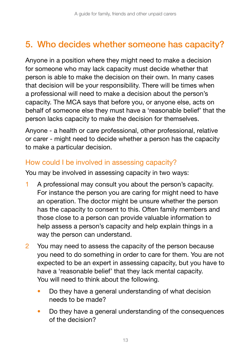# 5. Who decides whether someone has capacity?

Anyone in a position where they might need to make a decision for someone who may lack capacity must decide whether that person is able to make the decision on their own. In many cases that decision will be your responsibility. There will be times when a professional will need to make a decision about the person's capacity. The MCA says that before you, or anyone else, acts on behalf of someone else they must have a 'reasonable belief' that the person lacks capacity to make the decision for themselves.

Anyone - a health or care professional, other professional, relative or carer - might need to decide whether a person has the capacity to make a particular decision.

#### How could I be involved in assessing capacity?

You may be involved in assessing capacity in two ways:

- 1 A professional may consult you about the person's capacity. For instance the person you are caring for might need to have an operation. The doctor might be unsure whether the person has the capacity to consent to this. Often family members and those close to a person can provide valuable information to help assess a person's capacity and help explain things in a way the person can understand.
- 2 You may need to assess the capacity of the person because you need to do something in order to care for them. You are not expected to be an expert in assessing capacity, but you have to have a 'reasonable belief' that they lack mental capacity. You will need to think about the following.
	- Do they have a general understanding of what decision needs to be made?
	- Do they have a general understanding of the consequences of the decision?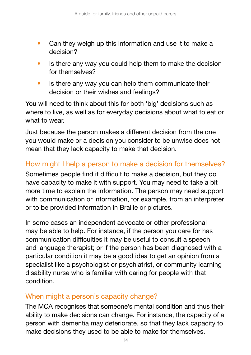- Can they weigh up this information and use it to make a decision?
- Is there any way you could help them to make the decision for themselves?
- Is there any way you can help them communicate their decision or their wishes and feelings?

You will need to think about this for both 'big' decisions such as where to live, as well as for everyday decisions about what to eat or what to wear.

Just because the person makes a different decision from the one you would make or a decision you consider to be unwise does not mean that they lack capacity to make that decision.

#### How might I help a person to make a decision for themselves?

Sometimes people find it difficult to make a decision, but they do have capacity to make it with support. You may need to take a bit more time to explain the information. The person may need support with communication or information, for example, from an interpreter or to be provided information in Braille or pictures.

In some cases an independent advocate or other professional may be able to help. For instance, if the person you care for has communication difficulties it may be useful to consult a speech and language therapist; or if the person has been diagnosed with a particular condition it may be a good idea to get an opinion from a specialist like a psychologist or psychiatrist, or community learning disability nurse who is familiar with caring for people with that condition.

#### When might a person's capacity change?

The MCA recognises that someone's mental condition and thus their ability to make decisions can change. For instance, the capacity of a person with dementia may deteriorate, so that they lack capacity to make decisions they used to be able to make for themselves.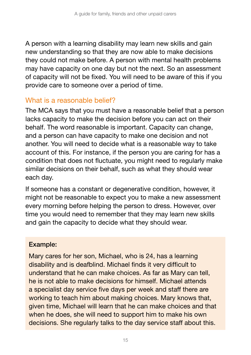A person with a learning disability may learn new skills and gain new understanding so that they are now able to make decisions they could not make before. A person with mental health problems may have capacity on one day but not the next. So an assessment of capacity will not be fixed. You will need to be aware of this if you provide care to someone over a period of time.

#### What is a reasonable belief?

The MCA says that you must have a reasonable belief that a person lacks capacity to make the decision before you can act on their behalf. The word reasonable is important. Capacity can change, and a person can have capacity to make one decision and not another. You will need to decide what is a reasonable way to take account of this. For instance, if the person you are caring for has a condition that does not fluctuate, you might need to regularly make similar decisions on their behalf, such as what they should wear each day.

If someone has a constant or degenerative condition, however, it might not be reasonable to expect you to make a new assessment every morning before helping the person to dress. However, over time you would need to remember that they may learn new skills and gain the capacity to decide what they should wear.

#### Example:

Mary cares for her son, Michael, who is 24, has a learning disability and is deafblind. Michael finds it very difficult to understand that he can make choices. As far as Mary can tell, he is not able to make decisions for himself. Michael attends a specialist day service five days per week and staff there are working to teach him about making choices. Mary knows that, given time, Michael will learn that he can make choices and that when he does, she will need to support him to make his own decisions. She regularly talks to the day service staff about this.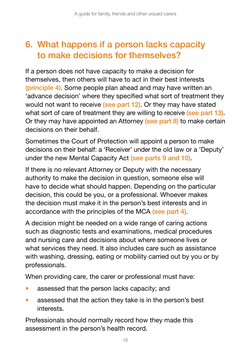# 6. What happens if a person lacks capacity to make decisions for themselves?

If a person does not have capacity to make a decision for themselves, then others will have to act in their best interests (principle 4). Some people plan ahead and may have written an 'advance decision' where they specified what sort of treatment they would not want to receive (see part 12). Or they may have stated what sort of care of treatment they are willing to receive (see part 13). Or they may have appointed an Attorney (see part 8) to make certain decisions on their behalf.

Sometimes the Court of Protection will appoint a person to make decisions on their behalf: a 'Receiver' under the old law or a 'Deputy' under the new Mental Capacity Act (see parts 9 and 10).

If there is no relevant Attorney or Deputy with the necessary authority to make the decision in question, someone else will have to decide what should happen. Depending on the particular decision, this could be you, or a professional. Whoever makes the decision must make it in the person's best interests and in accordance with the principles of the MCA (see part 4).

A decision might be needed on a wide range of caring actions such as diagnostic tests and examinations, medical procedures and nursing care and decisions about where someone lives or what services they need. It also includes care such as assistance with washing, dressing, eating or mobility carried out by you or by professionals.

When providing care, the carer or professional must have:

- assessed that the person lacks capacity; and
- assessed that the action they take is in the person's best interests.

Professionals should normally record how they made this assessment in the person's health record.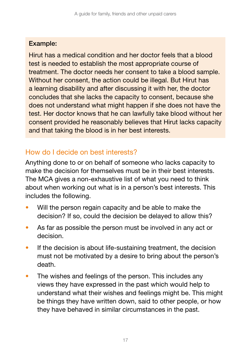#### Example:

Hirut has a medical condition and her doctor feels that a blood test is needed to establish the most appropriate course of treatment. The doctor needs her consent to take a blood sample. Without her consent, the action could be illegal. But Hirut has a learning disability and after discussing it with her, the doctor concludes that she lacks the capacity to consent, because she does not understand what might happen if she does not have the test. Her doctor knows that he can lawfully take blood without her consent provided he reasonably believes that Hirut lacks capacity and that taking the blood is in her best interests.

### How do I decide on best interests?

Anything done to or on behalf of someone who lacks capacity to make the decision for themselves must be in their best interests. The MCA gives a non-exhaustive list of what you need to think about when working out what is in a person's best interests. This includes the following.

- Will the person regain capacity and be able to make the decision? If so, could the decision be delayed to allow this?
- As far as possible the person must be involved in any act or decision.
- If the decision is about life-sustaining treatment, the decision must not be motivated by a desire to bring about the person's death.
- The wishes and feelings of the person. This includes any views they have expressed in the past which would help to understand what their wishes and feelings might be. This might be things they have written down, said to other people, or how they have behaved in similar circumstances in the past.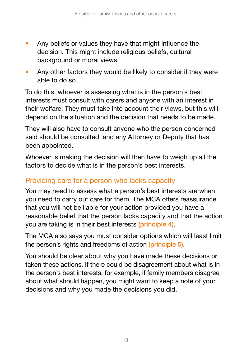- Any beliefs or values they have that might influence the decision. This might include religious beliefs, cultural background or moral views.
- Any other factors they would be likely to consider if they were able to do so.

To do this, whoever is assessing what is in the person's best interests must consult with carers and anyone with an interest in their welfare. They must take into account their views, but this will depend on the situation and the decision that needs to be made.

They will also have to consult anyone who the person concerned said should be consulted, and any Attorney or Deputy that has been appointed.

Whoever is making the decision will then have to weigh up all the factors to decide what is in the person's best interests.

### Providing care for a person who lacks capacity

You may need to assess what a person's best interests are when you need to carry out care for them. The MCA offers reassurance that you will not be liable for your action provided you have a reasonable belief that the person lacks capacity and that the action you are taking is in their best interests (principle 4).

The MCA also says you must consider options which will least limit the person's rights and freedoms of action (principle 5).

You should be clear about why you have made these decisions or taken these actions. If there could be disagreement about what is in the person's best interests, for example, if family members disagree about what should happen, you might want to keep a note of your decisions and why you made the decisions you did.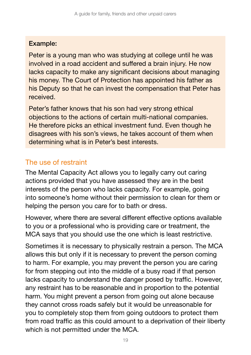#### Example:

Peter is a young man who was studying at college until he was involved in a road accident and suffered a brain injury. He now lacks capacity to make any significant decisions about managing his money. The Court of Protection has appointed his father as his Deputy so that he can invest the compensation that Peter has received.

Peter's father knows that his son had very strong ethical objections to the actions of certain multi-national companies. He therefore picks an ethical investment fund. Even though he disagrees with his son's views, he takes account of them when determining what is in Peter's best interests.

### The use of restraint

The Mental Capacity Act allows you to legally carry out caring actions provided that you have assessed they are in the best interests of the person who lacks capacity. For example, going into someone's home without their permission to clean for them or helping the person you care for to bath or dress.

However, where there are several different effective options available to you or a professional who is providing care or treatment, the MCA says that you should use the one which is least restrictive.

Sometimes it is necessary to physically restrain a person. The MCA allows this but only if it is necessary to prevent the person coming to harm. For example, you may prevent the person you are caring for from stepping out into the middle of a busy road if that person lacks capacity to understand the danger posed by traffic. However, any restraint has to be reasonable and in proportion to the potential harm. You might prevent a person from going out alone because they cannot cross roads safely but it would be unreasonable for you to completely stop them from going outdoors to protect them from road traffic as this could amount to a deprivation of their liberty which is not permitted under the MCA.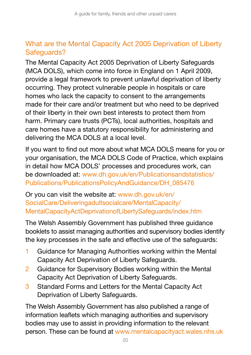### What are the Mental Capacity Act 2005 Deprivation of Liberty Safeguards?

The Mental Capacity Act 2005 Deprivation of Liberty Safeguards (MCA DOLS), which come into force in England on 1 April 2009, provide a legal framework to prevent unlawful deprivation of liberty occurring. They protect vulnerable people in hospitals or care homes who lack the capacity to consent to the arrangements made for their care and/or treatment but who need to be deprived of their liberty in their own best interests to protect them from harm. Primary care trusts (PCTs), local authorities, hospitals and care homes have a statutory responsibility for administering and delivering the MCA DOLS at a local level.

If you want to find out more about what MCA DOLS means for you or your organisation, the MCA DOLS Code of Practice, which explains in detail how MCA DOLS' processes and procedures work, can be downloaded at: [www.dh.gov.uk/en/Publicationsandstatistics/](http://www.dh.gov.uk/en/Publicationsandstatistics/Publications/PublicationsPolicyAndGuidance/DH_085476) [Publications/PublicationsPolicyAndGuidance/DH\\_085476](http://www.dh.gov.uk/en/Publicationsandstatistics/Publications/PublicationsPolicyAndGuidance/DH_085476)

Or you can visit the website at: [www.dh.gov.uk/en/](http://www.dh.gov.uk/en/SocialCare/Deliveringadultsocialcare/MentalCapacity/MentalCapacityActDeprivationofLibertySafeguards/index.htm) [SocialCare/Deliveringadultsocialcare/MentalCapacity/](http://www.dh.gov.uk/en/SocialCare/Deliveringadultsocialcare/MentalCapacity/MentalCapacityActDeprivationofLibertySafeguards/index.htm) [MentalCapacityActDeprivationofLibertySafeguards/index.htm](http://www.dh.gov.uk/en/SocialCare/Deliveringadultsocialcare/MentalCapacity/MentalCapacityActDeprivationofLibertySafeguards/index.htm)

The Welsh Assembly Government has published three guidance booklets to assist managing authorities and supervisory bodies identify the key processes in the safe and effective use of the safeguards:

- 1 Guidance for Managing Authorities working within the Mental Capacity Act Deprivation of Liberty Safeguards.
- 2 Guidance for Supervisory Bodies working within the Mental Capacity Act Deprivation of Liberty Safeguards.
- 3 Standard Forms and Letters for the Mental Capacity Act Deprivation of Liberty Safeguards.

The Welsh Assembly Government has also published a range of information leaflets which managing authorities and supervisory bodies may use to assist in providing information to the relevant person. These can be found at [www.mentalcapacityact.wales.nhs.uk](http://www.mentalcapacityact.wales.nhs.uk)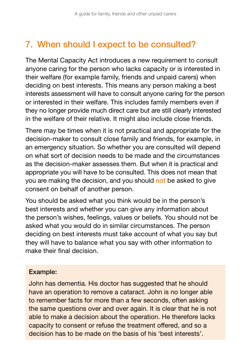# 7. When should I expect to be consulted?

The Mental Capacity Act introduces a new requirement to consult anyone caring for the person who lacks capacity or is interested in their welfare (for example family, friends and unpaid carers) when deciding on best interests. This means any person making a best interests assessment will have to consult anyone caring for the person or interested in their welfare. This includes family members even if they no longer provide much direct care but are still clearly interested in the welfare of their relative. It might also include close friends.

There may be times when it is not practical and appropriate for the decision-maker to consult close family and friends, for example, in an emergency situation. So whether you are consulted will depend on what sort of decision needs to be made and the circumstances as the decision-maker assesses them. But when it is practical and appropriate you will have to be consulted. This does not mean that you are making the decision, and you should not be asked to give consent on behalf of another person.

You should be asked what you think would be in the person's best interests and whether you can give any information about the person's wishes, feelings, values or beliefs. You should not be asked what you would do in similar circumstances. The person deciding on best interests must take account of what you say but they will have to balance what you say with other information to make their final decision.

#### Example:

John has dementia. His doctor has suggested that he should have an operation to remove a cataract. John is no longer able to remember facts for more than a few seconds, often asking the same questions over and over again. It is clear that he is not able to make a decision about the operation. He therefore lacks capacity to consent or refuse the treatment offered, and so a decision has to be made on the basis of his 'best interests'.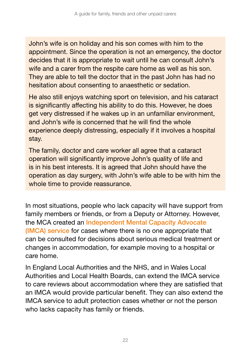John's wife is on holiday and his son comes with him to the appointment. Since the operation is not an emergency, the doctor decides that it is appropriate to wait until he can consult John's wife and a carer from the respite care home as well as his son. They are able to tell the doctor that in the past John has had no hesitation about consenting to anaesthetic or sedation.

He also still enjoys watching sport on television, and his cataract is significantly affecting his ability to do this. However, he does get very distressed if he wakes up in an unfamiliar environment, and John's wife is concerned that he will find the whole experience deeply distressing, especially if it involves a hospital stay.

The family, doctor and care worker all agree that a cataract operation will significantly improve John's quality of life and is in his best interests. It is agreed that John should have the operation as day surgery, with John's wife able to be with him the whole time to provide reassurance.

In most situations, people who lack capacity will have support from family members or friends, or from a Deputy or Attorney. However, the MCA created an Independent Mental Capacity Advocate (IMCA) service for cases where there is no one appropriate that can be consulted for decisions about serious medical treatment or changes in accommodation, for example moving to a hospital or care home.

In England Local Authorities and the NHS, and in Wales Local Authorities and Local Health Boards, can extend the IMCA service to care reviews about accommodation where they are satisfied that an IMCA would provide particular benefit. They can also extend the IMCA service to adult protection cases whether or not the person who lacks capacity has family or friends.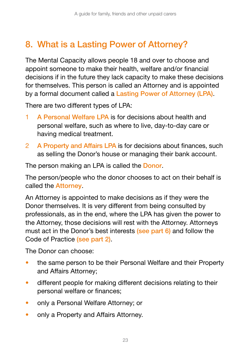# 8. What is a Lasting Power of Attorney?

The Mental Capacity allows people 18 and over to choose and appoint someone to make their health, welfare and/or financial decisions if in the future they lack capacity to make these decisions for themselves. This person is called an Attorney and is appointed by a formal document called a Lasting Power of Attorney (LPA).

There are two different types of LPA:

- 1 A Personal Welfare LPA is for decisions about health and personal welfare, such as where to live, day-to-day care or having medical treatment.
- 2 A Property and Affairs LPA is for decisions about finances, such as selling the Donor's house or managing their bank account.

The person making an LPA is called the Donor.

The person/people who the donor chooses to act on their behalf is called the Attorney.

An Attorney is appointed to make decisions as if they were the Donor themselves. It is very different from being consulted by professionals, as in the end, where the LPA has given the power to the Attorney, those decisions will rest with the Attorney. Attorneys must act in the Donor's best interests (see part 6) and follow the Code of Practice (see part 2).

The Donor can choose:

- the same person to be their Personal Welfare and their Property and Affairs Attorney;
- different people for making different decisions relating to their personal welfare or finances;
- only a Personal Welfare Attorney; or
- only a Property and Affairs Attorney.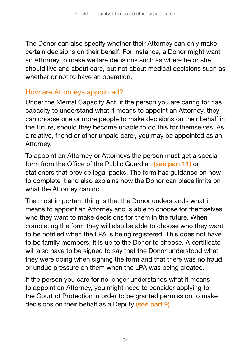The Donor can also specify whether their Attorney can only make certain decisions on their behalf. For instance, a Donor might want an Attorney to make welfare decisions such as where he or she should live and about care, but not about medical decisions such as whether or not to have an operation.

#### How are Attorneys appointed?

Under the Mental Capacity Act, if the person you are caring for has capacity to understand what it means to appoint an Attorney, they can choose one or more people to make decisions on their behalf in the future, should they become unable to do this for themselves. As a relative, friend or other unpaid carer, you may be appointed as an Attorney.

To appoint an Attorney or Attorneys the person must get a special form from the Office of the Public Guardian (see part 11) or stationers that provide legal packs. The form has guidance on how to complete it and also explains how the Donor can place limits on what the Attorney can do.

The most important thing is that the Donor understands what it means to appoint an Attorney and is able to choose for themselves who they want to make decisions for them in the future. When completing the form they will also be able to choose who they want to be notified when the LPA is being registered. This does not have to be family members; it is up to the Donor to choose. A certificate will also have to be signed to say that the Donor understood what they were doing when signing the form and that there was no fraud or undue pressure on them when the LPA was being created.

If the person you care for no longer understands what it means to appoint an Attorney, you might need to consider applying to the Court of Protection in order to be granted permission to make decisions on their behalf as a Deputy (see part 9).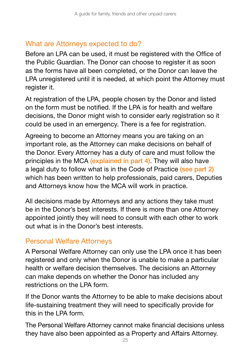#### What are Attorneys expected to do?

Before an LPA can be used, it must be registered with the Office of the Public Guardian. The Donor can choose to register it as soon as the forms have all been completed, or the Donor can leave the LPA unregistered until it is needed, at which point the Attorney must register it.

At registration of the LPA, people chosen by the Donor and listed on the form must be notified. If the LPA is for health and welfare decisions, the Donor might wish to consider early registration so it could be used in an emergency. There is a fee for registration.

Agreeing to become an Attorney means you are taking on an important role, as the Attorney can make decisions on behalf of the Donor. Every Attorney has a duty of care and must follow the principles in the MCA (explained in part 4). They will also have a legal duty to follow what is in the Code of Practice (see part 2) which has been written to help professionals, paid carers, Deputies and Attorneys know how the MCA will work in practice.

All decisions made by Attorneys and any actions they take must be in the Donor's best interests. If there is more than one Attorney appointed jointly they will need to consult with each other to work out what is in the Donor's best interests.

#### Personal Welfare Attorneys

A Personal Welfare Attorney can only use the LPA once it has been registered and only when the Donor is unable to make a particular health or welfare decision themselves. The decisions an Attorney can make depends on whether the Donor has included any restrictions on the LPA form.

If the Donor wants the Attorney to be able to make decisions about life-sustaining treatment they will need to specifically provide for this in the LPA form.

The Personal Welfare Attorney cannot make financial decisions unless they have also been appointed as a Property and Affairs Attorney.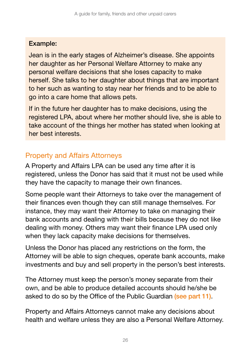#### Example:

Jean is in the early stages of Alzheimer's disease. She appoints her daughter as her Personal Welfare Attorney to make any personal welfare decisions that she loses capacity to make herself. She talks to her daughter about things that are important to her such as wanting to stay near her friends and to be able to go into a care home that allows pets.

If in the future her daughter has to make decisions, using the registered LPA, about where her mother should live, she is able to take account of the things her mother has stated when looking at her best interests.

### Property and Affairs Attorneys

A Property and Affairs LPA can be used any time after it is registered, unless the Donor has said that it must not be used while they have the capacity to manage their own finances.

Some people want their Attorneys to take over the management of their finances even though they can still manage themselves. For instance, they may want their Attorney to take on managing their bank accounts and dealing with their bills because they do not like dealing with money. Others may want their finance LPA used only when they lack capacity make decisions for themselves.

Unless the Donor has placed any restrictions on the form, the Attorney will be able to sign cheques, operate bank accounts, make investments and buy and sell property in the person's best interests.

The Attorney must keep the person's money separate from their own, and be able to produce detailed accounts should he/she be asked to do so by the Office of the Public Guardian (see part 11).

Property and Affairs Attorneys cannot make any decisions about health and welfare unless they are also a Personal Welfare Attorney.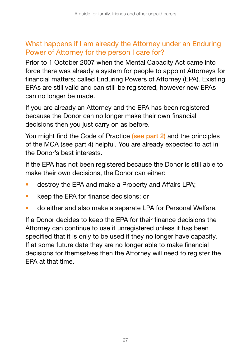### What happens if I am already the Attorney under an Enduring Power of Attorney for the person I care for?

Prior to 1 October 2007 when the Mental Capacity Act came into force there was already a system for people to appoint Attorneys for financial matters; called Enduring Powers of Attorney (EPA). Existing EPAs are still valid and can still be registered, however new EPAs can no longer be made.

If you are already an Attorney and the EPA has been registered because the Donor can no longer make their own financial decisions then you just carry on as before.

You might find the Code of Practice (see part 2) and the principles of the MCA (see part 4) helpful. You are already expected to act in the Donor's best interests.

If the EPA has not been registered because the Donor is still able to make their own decisions, the Donor can either:

- destroy the EPA and make a Property and Affairs LPA;
- keep the EPA for finance decisions; or
- do either and also make a separate LPA for Personal Welfare.

If a Donor decides to keep the EPA for their finance decisions the Attorney can continue to use it unregistered unless it has been specified that it is only to be used if they no longer have capacity. If at some future date they are no longer able to make financial decisions for themselves then the Attorney will need to register the EPA at that time.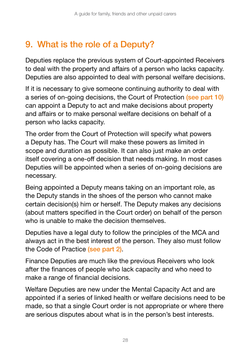# 9. What is the role of a Deputy?

Deputies replace the previous system of Court-appointed Receivers to deal with the property and affairs of a person who lacks capacity. Deputies are also appointed to deal with personal welfare decisions.

If it is necessary to give someone continuing authority to deal with a series of on-going decisions, the Court of Protection (see part 10) can appoint a Deputy to act and make decisions about property and affairs or to make personal welfare decisions on behalf of a person who lacks capacity.

The order from the Court of Protection will specify what powers a Deputy has. The Court will make these powers as limited in scope and duration as possible. It can also just make an order itself covering a one-off decision that needs making. In most cases Deputies will be appointed when a series of on-going decisions are necessary.

Being appointed a Deputy means taking on an important role, as the Deputy stands in the shoes of the person who cannot make certain decision(s) him or herself. The Deputy makes any decisions (about matters specified in the Court order) on behalf of the person who is unable to make the decision themselves.

Deputies have a legal duty to follow the principles of the MCA and always act in the best interest of the person. They also must follow the Code of Practice (see part 2).

Finance Deputies are much like the previous Receivers who look after the finances of people who lack capacity and who need to make a range of financial decisions.

Welfare Deputies are new under the Mental Capacity Act and are appointed if a series of linked health or welfare decisions need to be made, so that a single Court order is not appropriate or where there are serious disputes about what is in the person's best interests.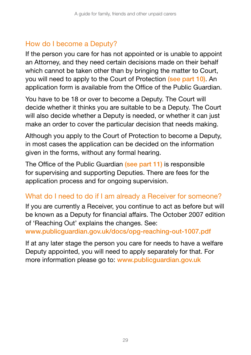### How do I become a Deputy?

If the person you care for has not appointed or is unable to appoint an Attorney, and they need certain decisions made on their behalf which cannot be taken other than by bringing the matter to Court, you will need to apply to the Court of Protection (see part 10). An application form is available from the Office of the Public Guardian.

You have to be 18 or over to become a Deputy. The Court will decide whether it thinks you are suitable to be a Deputy. The Court will also decide whether a Deputy is needed, or whether it can just make an order to cover the particular decision that needs making.

Although you apply to the Court of Protection to become a Deputy, in most cases the application can be decided on the information given in the forms, without any formal hearing.

The Office of the Public Guardian (see part 11) is responsible for supervising and supporting Deputies. There are fees for the application process and for ongoing supervision.

### What do I need to do if I am already a Receiver for someone?

If you are currently a Receiver, you continue to act as before but will be known as a Deputy for financial affairs. The October 2007 edition of 'Reaching Out' explains the changes. See:

[www.publicguardian.gov.uk/docs/opg-reaching-out-1007.pdf](http://www.publicguardian.gov.uk/docs/opg-reaching-out-1007.pdf)

If at any later stage the person you care for needs to have a welfare Deputy appointed, you will need to apply separately for that. For more information please go to: [www.publicguardian.gov.uk](http://www.publicguardian.gov.uk/docs/opg-reaching-out-1007.pdf)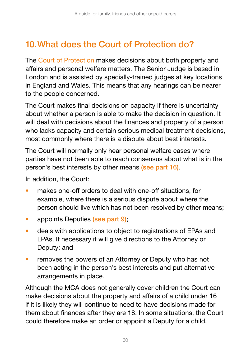# 10.What does the Court of Protection do?

The Court of Protection makes decisions about both property and affairs and personal welfare matters. The Senior Judge is based in London and is assisted by specially-trained judges at key locations in England and Wales. This means that any hearings can be nearer to the people concerned.

The Court makes final decisions on capacity if there is uncertainty about whether a person is able to make the decision in question. It will deal with decisions about the finances and property of a person who lacks capacity and certain serious medical treatment decisions, most commonly where there is a dispute about best interests.

The Court will normally only hear personal welfare cases where parties have not been able to reach consensus about what is in the person's best interests by other means (see part 16).

In addition, the Court:

- makes one-off orders to deal with one-off situations, for example, where there is a serious dispute about where the person should live which has not been resolved by other means;
- appoints Deputies (see part 9);
- deals with applications to object to registrations of EPAs and LPAs. If necessary it will give directions to the Attorney or Deputy; and
- removes the powers of an Attorney or Deputy who has not been acting in the person's best interests and put alternative arrangements in place.

Although the MCA does not generally cover children the Court can make decisions about the property and affairs of a child under 16 if it is likely they will continue to need to have decisions made for them about finances after they are 18. In some situations, the Court could therefore make an order or appoint a Deputy for a child.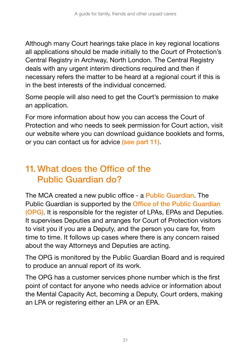Although many Court hearings take place in key regional locations all applications should be made initially to the Court of Protection's Central Registry in Archway, North London. The Central Registry deals with any urgent interim directions required and then if necessary refers the matter to be heard at a regional court if this is in the best interests of the individual concerned.

Some people will also need to get the Court's permission to make an application.

For more information about how you can access the Court of Protection and who needs to seek permission for Court action, visit our website where you can download guidance booklets and forms, or you can contact us for advice (see part 11).

## 11. What does the Office of the Public Guardian do?

The MCA created a new public office - a Public Guardian. The Public Guardian is supported by the Office of the Public Guardian (OPG). It is responsible for the register of LPAs, EPAs and Deputies. It supervises Deputies and arranges for Court of Protection visitors to visit you if you are a Deputy, and the person you care for, from time to time. It follows up cases where there is any concern raised about the way Attorneys and Deputies are acting.

The OPG is monitored by the Public Guardian Board and is required to produce an annual report of its work.

The OPG has a customer services phone number which is the first point of contact for anyone who needs advice or information about the Mental Capacity Act, becoming a Deputy, Court orders, making an LPA or registering either an LPA or an EPA.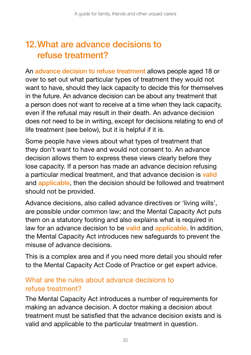# 12.What are advance decisions to refuse treatment?

An advance decision to refuse treatment allows people aged 18 or over to set out what particular types of treatment they would not want to have, should they lack capacity to decide this for themselves in the future. An advance decision can be about any treatment that a person does not want to receive at a time when they lack capacity, even if the refusal may result in their death. An advance decision does not need to be in writing, except for decisions relating to end of life treatment (see below), but it is helpful if it is.

Some people have views about what types of treatment that they don't want to have and would not consent to. An advance decision allows them to express these views clearly before they lose capacity. If a person has made an advance decision refusing a particular medical treatment, and that advance decision is valid and applicable, then the decision should be followed and treatment should not be provided.

Advance decisions, also called advance directives or 'living wills', are possible under common law; and the Mental Capacity Act puts them on a statutory footing and also explains what is required in law for an advance decision to be valid and applicable. In addition, the Mental Capacity Act introduces new safeguards to prevent the misuse of advance decisions.

This is a complex area and if you need more detail you should refer to the Mental Capacity Act Code of Practice or get expert advice.

#### What are the rules about advance decisions to refuse treatment?

The Mental Capacity Act introduces a number of requirements for making an advance decision. A doctor making a decision about treatment must be satisfied that the advance decision exists and is valid and applicable to the particular treatment in question.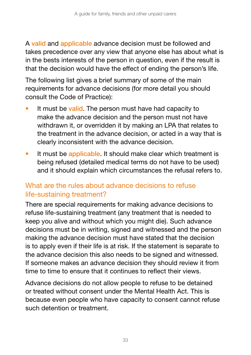A valid and applicable advance decision must be followed and takes precedence over any view that anyone else has about what is in the bests interests of the person in question, even if the result is that the decision would have the effect of ending the person's life.

The following list gives a brief summary of some of the main requirements for advance decisions (for more detail you should consult the Code of Practice):

- It must be valid. The person must have had capacity to make the advance decision and the person must not have withdrawn it, or overridden it by making an LPA that relates to the treatment in the advance decision, or acted in a way that is clearly inconsistent with the advance decision.
- It must be applicable. It should make clear which treatment is being refused (detailed medical terms do not have to be used) and it should explain which circumstances the refusal refers to.

#### What are the rules about advance decisions to refuse life-sustaining treatment?

There are special requirements for making advance decisions to refuse life-sustaining treatment (any treatment that is needed to keep you alive and without which you might die). Such advance decisions must be in writing, signed and witnessed and the person making the advance decision must have stated that the decision is to apply even if their life is at risk. If the statement is separate to the advance decision this also needs to be signed and witnessed. If someone makes an advance decision they should review it from time to time to ensure that it continues to reflect their views.

Advance decisions do not allow people to refuse to be detained or treated without consent under the Mental Health Act. This is because even people who have capacity to consent cannot refuse such detention or treatment.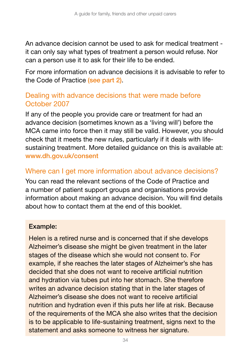An advance decision cannot be used to ask for medical treatment it can only say what types of treatment a person would refuse. Nor can a person use it to ask for their life to be ended.

For more information on advance decisions it is advisable to refer to the Code of Practice (see part 2).

#### Dealing with advance decisions that were made before October 2007

If any of the people you provide care or treatment for had an advance decision (sometimes known as a 'living will') before the MCA came into force then it may still be valid. However, you should check that it meets the new rules, particularly if it deals with lifesustaining treatment. More detailed guidance on this is available at: [www.dh.gov.uk/consent](http://www.dh.gov.uk/consent)

#### Where can I get more information about advance decisions?

You can read the relevant sections of the Code of Practice and a number of patient support groups and organisations provide information about making an advance decision. You will find details about how to contact them at the end of this booklet.

#### Example:

Helen is a retired nurse and is concerned that if she develops Alzheimer's disease she might be given treatment in the later stages of the disease which she would not consent to. For example, if she reaches the later stages of Alzheimer's she has decided that she does not want to receive artificial nutrition and hydration via tubes put into her stomach. She therefore writes an advance decision stating that in the later stages of Alzheimer's disease she does not want to receive artificial nutrition and hydration even if this puts her life at risk. Because of the requirements of the MCA she also writes that the decision is to be applicable to life-sustaining treatment, signs next to the statement and asks someone to witness her signature.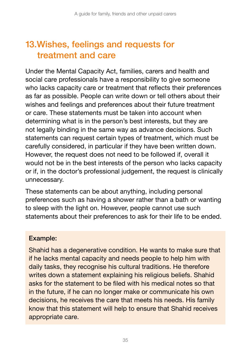# 13.Wishes, feelings and requests for treatment and care

Under the Mental Capacity Act, families, carers and health and social care professionals have a responsibility to give someone who lacks capacity care or treatment that reflects their preferences as far as possible. People can write down or tell others about their wishes and feelings and preferences about their future treatment or care. These statements must be taken into account when determining what is in the person's best interests, but they are not legally binding in the same way as advance decisions. Such statements can request certain types of treatment, which must be carefully considered, in particular if they have been written down. However, the request does not need to be followed if, overall it would not be in the best interests of the person who lacks capacity or if, in the doctor's professional judgement, the request is clinically unnecessary.

These statements can be about anything, including personal preferences such as having a shower rather than a bath or wanting to sleep with the light on. However, people cannot use such statements about their preferences to ask for their life to be ended.

#### Example:

Shahid has a degenerative condition. He wants to make sure that if he lacks mental capacity and needs people to help him with daily tasks, they recognise his cultural traditions. He therefore writes down a statement explaining his religious beliefs. Shahid asks for the statement to be filed with his medical notes so that in the future, if he can no longer make or communicate his own decisions, he receives the care that meets his needs. His family know that this statement will help to ensure that Shahid receives appropriate care.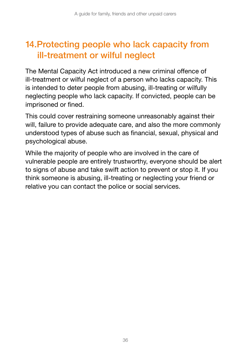# 14.Protecting people who lack capacity from ill-treatment or wilful neglect

The Mental Capacity Act introduced a new criminal offence of ill-treatment or wilful neglect of a person who lacks capacity. This is intended to deter people from abusing, ill-treating or wilfully neglecting people who lack capacity. If convicted, people can be imprisoned or fined.

This could cover restraining someone unreasonably against their will, failure to provide adequate care, and also the more commonly understood types of abuse such as financial, sexual, physical and psychological abuse.

While the majority of people who are involved in the care of vulnerable people are entirely trustworthy, everyone should be alert to signs of abuse and take swift action to prevent or stop it. If you think someone is abusing, ill-treating or neglecting your friend or relative you can contact the police or social services.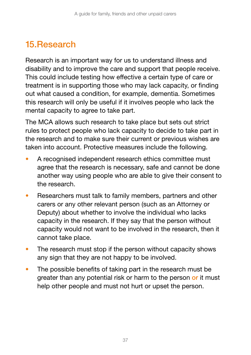# 15.Research

Research is an important way for us to understand illness and disability and to improve the care and support that people receive. This could include testing how effective a certain type of care or treatment is in supporting those who may lack capacity, or finding out what caused a condition, for example, dementia. Sometimes this research will only be useful if it involves people who lack the mental capacity to agree to take part.

The MCA allows such research to take place but sets out strict rules to protect people who lack capacity to decide to take part in the research and to make sure their current or previous wishes are taken into account. Protective measures include the following.

- A recognised independent research ethics committee must agree that the research is necessary, safe and cannot be done another way using people who are able to give their consent to the research.
- Researchers must talk to family members, partners and other carers or any other relevant person (such as an Attorney or Deputy) about whether to involve the individual who lacks capacity in the research. If they say that the person without capacity would not want to be involved in the research, then it cannot take place.
- The research must stop if the person without capacity shows any sign that they are not happy to be involved.
- The possible benefits of taking part in the research must be greater than any potential risk or harm to the person or it must help other people and must not hurt or upset the person.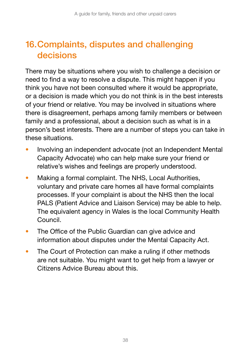# 16.Complaints, disputes and challenging decisions

There may be situations where you wish to challenge a decision or need to find a way to resolve a dispute. This might happen if you think you have not been consulted where it would be appropriate, or a decision is made which you do not think is in the best interests of your friend or relative. You may be involved in situations where there is disagreement, perhaps among family members or between family and a professional, about a decision such as what is in a person's best interests. There are a number of steps you can take in these situations.

- Involving an independent advocate (not an Independent Mental Capacity Advocate) who can help make sure your friend or relative's wishes and feelings are properly understood.
- Making a formal complaint. The NHS, Local Authorities, voluntary and private care homes all have formal complaints processes. If your complaint is about the NHS then the local PALS (Patient Advice and Liaison Service) may be able to help. The equivalent agency in Wales is the local Community Health Council.
- The Office of the Public Guardian can give advice and information about disputes under the Mental Capacity Act.
- The Court of Protection can make a ruling if other methods are not suitable. You might want to get help from a lawyer or Citizens Advice Bureau about this.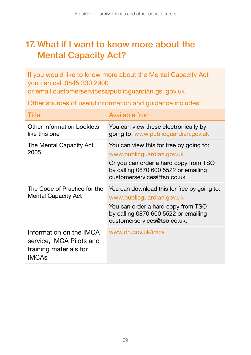## 17. What if I want to know more about the Mental Capacity Act?

If you would like to know more about the Mental Capacity Act you can call 0845 330 2900 or email [customerservices@publicguardian.gsi.gov.uk](mailto:customerservices@publicguardian.gsi.gov.uk)

Other sources of useful information and guidance includes:

| Title                                                                                         | Available from                                                                                                                                                                        |
|-----------------------------------------------------------------------------------------------|---------------------------------------------------------------------------------------------------------------------------------------------------------------------------------------|
| Other information booklets<br>like this one                                                   | You can view these electronically by<br>going to: www.publicguardian.gov.uk                                                                                                           |
| The Mental Capacity Act<br>2005                                                               | You can view this for free by going to:<br>www.publicguardian.gov.uk<br>Or you can order a hard copy from TSO<br>by calling 0870 600 5522 or emailing<br>customerservices@tso.co.uk   |
| The Code of Practice for the<br>Mental Capacity Act                                           | You can download this for free by going to:<br>www.publicguardian.gov.uk<br>You can order a hard copy from TSO<br>by calling 0870 600 5522 or emailing<br>customerservices@tso.co.uk. |
| Information on the IMCA<br>service, IMCA Pilots and<br>training materials for<br><b>IMCAs</b> | www.dh.gov.uk/imca                                                                                                                                                                    |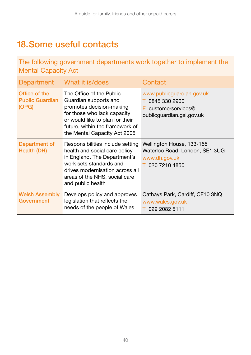# 18.Some useful contacts

The following government departments work together to implement the Mental Capacity Act

| Department                                       | What it is/does                                                                                                                                                                                                       | Contact                                                                                            |
|--------------------------------------------------|-----------------------------------------------------------------------------------------------------------------------------------------------------------------------------------------------------------------------|----------------------------------------------------------------------------------------------------|
| Office of the<br><b>Public Guardian</b><br>(OPG) | The Office of the Public<br>Guardian supports and<br>promotes decision-making<br>for those who lack capacity<br>or would like to plan for their<br>future, within the framework of<br>the Mental Capacity Act 2005    | www.publicguardian.gov.uk<br>T 0845 330 2900<br>$E$ customerservices@<br>publicguardian.gsi.gov.uk |
| Department of<br>Health (DH)                     | Responsibilities include setting<br>health and social care policy<br>in England. The Department's<br>work sets standards and<br>drives modernisation across all<br>areas of the NHS, social care<br>and public health | Wellington House, 133-155<br>Waterloo Road, London, SE1 3UG<br>www.dh.gov.uk<br>T 020 7210 4850    |
| <b>Welsh Assembly</b><br>Government              | Develops policy and approves<br>legislation that reflects the<br>needs of the people of Wales                                                                                                                         | Cathays Park, Cardiff, CF10 3NQ<br>www.wales.gov.uk<br>029 2082 5111                               |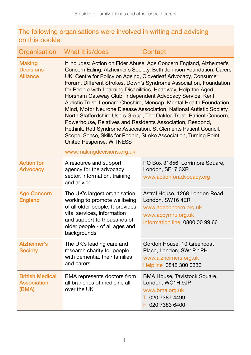#### The following organisations were involved in writing and advising on this booklet

| Organisation                                         | What it is/does                                                                                                                                                                                                                                          | Contact                                                                                                                                                                                                                                                                                                                                                                                                                                                                                                                                                                                                                                             |
|------------------------------------------------------|----------------------------------------------------------------------------------------------------------------------------------------------------------------------------------------------------------------------------------------------------------|-----------------------------------------------------------------------------------------------------------------------------------------------------------------------------------------------------------------------------------------------------------------------------------------------------------------------------------------------------------------------------------------------------------------------------------------------------------------------------------------------------------------------------------------------------------------------------------------------------------------------------------------------------|
| <b>Making</b><br><b>Decisions</b><br><b>Alliance</b> | for People with Learning Disabilities, Headway, Help the Aged,<br>Horsham Gateway Club, Independent Advocacy Service, Kent<br>Powerhouse, Relatives and Residents Association, Respond,<br><b>United Response, WITNESS</b><br>www.makingdecisions.org.uk | It includes: Action on Elder Abuse, Age Concern England, Alzheimer's<br>Concern Ealing, Alzheimer's Society, Beth Johnson Foundation, Carers<br>UK, Centre for Policy on Ageing, Cloverleaf Advocacy, Consumer<br>Forum, Different Strokes, Down's Syndrome Association, Foundation<br>Autistic Trust, Leonard Cheshire, Mencap, Mental Health Foundation,<br>Mind, Motor Neurone Disease Association, National Autistic Society,<br>North Staffordshire Users Group, The Oaklea Trust, Patient Concern,<br>Rethink, Rett Syndrome Association, St Clements Patient Council,<br>Scope, Sense, Skills for People, Stroke Association, Turning Point, |
| <b>Action for</b><br><b>Advocacy</b>                 | A resource and support<br>agency for the advocacy<br>sector, information, training<br>and advice                                                                                                                                                         | PO Box 31856, Lorrimore Square,<br>London, SE17 3XR<br>www.actionforadvocacy.org                                                                                                                                                                                                                                                                                                                                                                                                                                                                                                                                                                    |
| <b>Age Concern</b><br><b>England</b>                 | The UK's largest organisation<br>working to promote wellbeing<br>of all older people. It provides<br>vital services, information<br>and support to thousands of<br>older people - of all ages and<br>backgrounds                                         | Astral House, 1268 London Road,<br>London, SW16 4ER<br>www.ageconcern.org.uk<br>www.accymru.org.uk<br>Information line 0800 00 99 66                                                                                                                                                                                                                                                                                                                                                                                                                                                                                                                |
| Alzheimer's<br><b>Society</b>                        | The UK's leading care and<br>research charity for people<br>with dementia, their families<br>and carers                                                                                                                                                  | Gordon House, 10 Greencoat<br>Place, London, SW1P 1PH<br>www.alzheimers.org.uk<br>Helpline 0845 300 0336                                                                                                                                                                                                                                                                                                                                                                                                                                                                                                                                            |
| <b>British Medical</b><br>Association<br>(BMA)       | BMA represents doctors from<br>all branches of medicine all<br>over the UK                                                                                                                                                                               | BMA House, Tavistock Square,<br>London, WC1H 9JP<br>www.bma.org.uk<br>T 020 7387 4499<br>F 020 7383 6400                                                                                                                                                                                                                                                                                                                                                                                                                                                                                                                                            |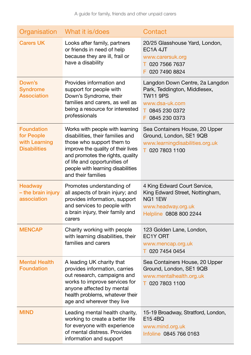| Organisation                                                            | What it is/does                                                                                                                                                                                                                                                       | Contact                                                                                                                                    |
|-------------------------------------------------------------------------|-----------------------------------------------------------------------------------------------------------------------------------------------------------------------------------------------------------------------------------------------------------------------|--------------------------------------------------------------------------------------------------------------------------------------------|
| <b>Carers UK</b>                                                        | Looks after family, partners<br>or friends in need of help<br>because they are ill, frail or<br>have a disability                                                                                                                                                     | 20/25 Glasshouse Yard, London,<br>EC <sub>1</sub> A <sub>4J</sub> T<br>www.carersuk.org<br>T 020 7566 7637<br>F 020 7490 8824              |
| Down's<br><b>Syndrome</b><br><b>Association</b>                         | Provides information and<br>support for people with<br>Down's Syndrome, their<br>families and carers, as well as<br>being a resource for interested<br>professionals                                                                                                  | Langdon Down Centre, 2a Langdon<br>Park, Teddington, Middlesex,<br><b>TW11 9PS</b><br>www.dsa-uk.com<br>T 0845 230 0372<br>F 0845 230 0373 |
| <b>Foundation</b><br>for People<br>with Learning<br><b>Disabilities</b> | Works with people with learning<br>disabilities, their families and<br>those who support them to<br>improve the quality of their lives<br>and promotes the rights, quality<br>of life and opportunities of<br>people with learning disabilities<br>and their families | Sea Containers House, 20 Upper<br>Ground, London, SE1 9QB<br>www.learningdisabilities.org.uk<br>T 020 7803 1100                            |
| <b>Headway</b><br>- the brain injury<br>association                     | Promotes understanding of<br>all aspects of brain injury; and<br>provides information, support<br>and services to people with<br>a brain injury, their family and<br>carers                                                                                           | 4 King Edward Court Service,<br>King Edward Street, Nottingham,<br>NG1 1EW<br>www.headway.org.uk<br>Helpline 0808 800 2244                 |
| <b>MENCAP</b>                                                           | Charity working with people<br>with learning disabilities, their<br>families and carers                                                                                                                                                                               | 123 Golden Lane, London,<br>EC <sub>1</sub> Y ORT<br>www.mencap.org.uk<br>T 020 7454 0454                                                  |
| <b>Mental Health</b><br><b>Foundation</b>                               | A leading UK charity that<br>provides information, carries<br>out research, campaigns and<br>works to improve services for<br>anyone affected by mental<br>health problems, whatever their<br>age and wherever they live                                              | Sea Containers House, 20 Upper<br>Ground, London, SE1 9QB<br>www.mentalhealth.org.uk<br>T 020 7803 1100                                    |
| <b>MIND</b>                                                             | Leading mental health charity,<br>working to create a better life<br>for everyone with experience<br>of mental distress. Provides<br>information and support                                                                                                          | 15-19 Broadway, Stratford, London,<br>E15 4BQ<br>www.mind.org.uk<br>Infoline 0845 766 0163                                                 |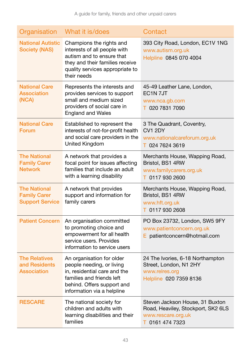| Organisation                                                         | What it is/does                                                                                                                                                                 | Contact                                                                                                        |
|----------------------------------------------------------------------|---------------------------------------------------------------------------------------------------------------------------------------------------------------------------------|----------------------------------------------------------------------------------------------------------------|
| <b>National Autistic</b><br><b>Society (NAS)</b>                     | Champions the rights and<br>interests of all people with<br>autism and to ensure that<br>they and their families receive<br>quality services appropriate to<br>their needs      | 393 City Road, London, EC1V 1NG<br>www.autism.org.uk<br>Helpline 0845 070 4004                                 |
| <b>National Care</b><br><b>Association</b><br>(NCA)                  | Represents the interests and<br>provides services to support<br>small and medium sized<br>providers of social care in<br><b>England and Wales</b>                               | 45-49 Leather Lane, London,<br>EC <sub>1</sub> N <sub>7JT</sub><br>www.nca.gb.com<br>T 020 7831 7090           |
| <b>National Care</b><br>Forum                                        | Established to represent the<br>interests of not-for-profit health<br>and social care providers in the<br>United Kingdom                                                        | 3 The Quadrant, Coventry,<br>CV1 2DY<br>www.nationalcareforum.org.uk<br>T 024 7624 3619                        |
| <b>The National</b><br><b>Family Carer</b><br><b>Network</b>         | A network that provides a<br>focal point for issues affecting<br>families that include an adult<br>with a learning disability                                                   | Merchants House, Wapping Road,<br>Bristol, BS1 4RW<br>www.familycarers.org.uk<br>T 0117 930 2600               |
| <b>The National</b><br><b>Family Carer</b><br><b>Support Service</b> | A network that provides<br>support and information for<br>family carers                                                                                                         | Merchants House, Wapping Road,<br>Bristol, BS1 4RW<br>www.hft.org.uk<br>T 0117 930 2608                        |
| <b>Patient Concern</b>                                               | An organisation committed<br>to promoting choice and<br>empowerment for all health<br>service users. Provides<br>information to service users                                   | PO Box 23732, London, SW5 9FY<br>www.patientconcern.org.uk<br>E patientconcern@hotmail.com                     |
| <b>The Relatives</b><br>and Residents<br><b>Association</b>          | An organisation for older<br>people needing, or living<br>in, residential care and the<br>families and friends left<br>behind. Offers support and<br>information via a helpline | 24 The Ivories, 6-18 Northampton<br>Street, London, N1 2HY<br>www.relres.org<br>Helpline 020 7359 8136         |
| <b>RESCARE</b>                                                       | The national society for<br>children and adults with<br>learning disabilities and their<br>families                                                                             | Steven Jackson House, 31 Buxton<br>Road, Heaviley, Stockport, SK2 6LS<br>www.rescare.org.uk<br>T 0161 474 7323 |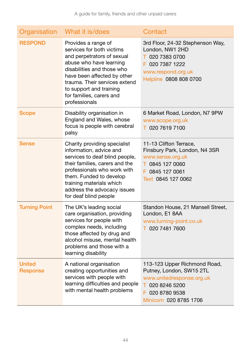| Organisation                     | What it is/does                                                                                                                                                                                                                                                                 | Contact                                                                                                                                              |
|----------------------------------|---------------------------------------------------------------------------------------------------------------------------------------------------------------------------------------------------------------------------------------------------------------------------------|------------------------------------------------------------------------------------------------------------------------------------------------------|
| <b>RESPOND</b>                   | Provides a range of<br>services for both victims<br>and perpetrators of sexual<br>abuse who have learning<br>disabilities and those who<br>have been affected by other<br>trauma. Their services extend<br>to support and training<br>for families, carers and<br>professionals | 3rd Floor, 24-32 Stephenson Way,<br>London, NW1 2HD<br>T 020 7383 0700<br>F 020 7387 1222<br>www.respond.org.uk<br>Helpline 0808 808 0700            |
| <b>Scope</b>                     | Disability organisation in<br>England and Wales, whose<br>focus is people with cerebral<br>palsy                                                                                                                                                                                | 6 Market Road, London, N7 9PW<br>www.scope.org.uk<br>T 020 7619 7100                                                                                 |
| Sense                            | Charity providing specialist<br>information, advice and<br>services to deaf blind people,<br>their families, carers and the<br>professionals who work with<br>them. Funded to develop<br>training materials which<br>address the advocacy issues<br>for deaf blind people       | 11-13 Clifton Terrace,<br>Finsbury Park, London, N4 3SR<br>www.sense.org.uk<br>T 0845 127 0060<br>F 0845 127 0061<br>Text 0845 127 0062              |
| <b>Turning Point</b>             | The UK's leading social<br>care organisation, providing<br>services for people with<br>complex needs, including<br>those affected by drug and<br>alcohol misuse, mental health<br>problems and those with a<br>learning disability                                              | Standon House, 21 Mansell Street,<br>London, E1 8AA<br>www.turning-point.co.uk<br>T 020 7481 7600                                                    |
| <b>United</b><br><b>Response</b> | A national organisation<br>creating opportunities and<br>services with people with<br>learning difficulties and people<br>with mental health problems                                                                                                                           | 113-123 Upper Richmond Road,<br>Putney, London, SW15 2TL<br>www.unitedresponse.org.uk<br>T 020 8246 5200<br>F 020 8780 9538<br>Minicom 020 8785 1706 |